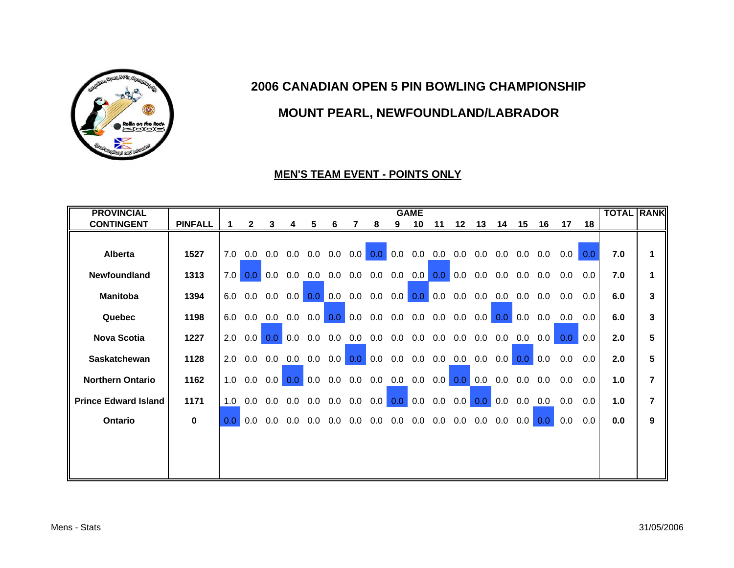

# **MOUNT PEARL, NEWFOUNDLAND/LABRADOR**

#### **MEN'S TEAM EVENT - POINTS ONLY**

| <b>PROVINCIAL</b>           |                |                  |                  |                |     |     |                         |           |     |                   | <b>GAME</b> |                   |                                                                         |                  |     |     |                |                  |     | <b>TOTAL RANK</b> |                |
|-----------------------------|----------------|------------------|------------------|----------------|-----|-----|-------------------------|-----------|-----|-------------------|-------------|-------------------|-------------------------------------------------------------------------|------------------|-----|-----|----------------|------------------|-----|-------------------|----------------|
| <b>CONTINGENT</b>           | <b>PINFALL</b> | 1.               | $\mathbf{2}$     | 3              | 4   | 5   | 6                       |           | 8   | 9                 | 10          | 11                | 12                                                                      | 13               | 14  | 15  | - 16           | 17               | 18  |                   |                |
|                             |                |                  |                  |                |     |     |                         |           |     |                   |             |                   |                                                                         |                  |     |     |                |                  |     |                   |                |
| <b>Alberta</b>              | 1527           | 7.0              | 0.0              | 0.0            | 0.0 |     | $0.0\quad 0.0$          | 0.0       | 0.0 | 0.0               |             |                   | $0.0\quad 0.0\quad 0.0$                                                 | $0.0\quad 0.0$   |     | 0.0 | 0.0            | 0.0              | 0.0 | 7.0               |                |
| <b>Newfoundland</b>         | 1313           | 7.0              | 0.0 <sub>1</sub> | 0.0            | 0.0 |     | $0.0\quad 0.0$          |           |     | $0.0$ 0.0 0.0 0.0 |             |                   | $\begin{array}{ c c c } \hline \textbf{0.0} & \textbf{0.0} \end{array}$ | 0.0              | 0.0 |     | $0.0\quad 0.0$ | 0.0              | 0.0 | 7.0               |                |
| <b>Manitoba</b>             | 1394           | 6.0              | 0.0              | 0.0            | 0.0 | 0.0 | 0.0                     | 0.0       | 0.0 | 0.0               | 0.0         | 0.0               | 0.0                                                                     | 0.0              | 0.0 | 0.0 | 0.0            | 0.0              | 0.0 | 6.0               | 3              |
| Quebec                      | 1198           | 6.0              | 0.0              | 0.0            | 0.0 | 0.0 | 0.0 <sub>1</sub>        | 0.0       | 0.0 | 0.0               | 0.0         | 0.0               | 0.0                                                                     | 0.0              | 0.0 | 0.0 | 0.0            | 0.0              | 0.0 | 6.0               | 3              |
| <b>Nova Scotia</b>          | 1227           | 2.0              | 0.0              | 0.0            | 0.0 | 0.0 | 0.0                     | 0.0       | 0.0 |                   |             |                   | $0.0$ 0.0 0.0 0.0                                                       | 0.0              | 0.0 | 0.0 | 0.0            | 0.0 <sub>1</sub> | 0.0 | 2.0               | 5              |
| Saskatchewan                | 1128           | 2.0              | 0.0              | 0.0            | 0.0 | 0.0 |                         | $0.0$ 0.0 | 0.0 | 0.0               |             |                   | $0.0$ $0.0$ $0.0$                                                       | 0.0              | 0.0 | 0.0 | 0.0            | 0.0              | 0.0 | 2.0               | 5              |
| <b>Northern Ontario</b>     | 1162           | 1.0              | 0.0              | 0.0            |     |     |                         |           |     |                   |             |                   |                                                                         |                  | 0.0 | 0.0 | 0.0            | 0.0              | 0.0 | 1.0               | $\overline{7}$ |
| <b>Prince Edward Island</b> | 1171           | 1.0              |                  | $0.0\quad 0.0$ |     |     | $0.0$ $0.0$ $0.0$ $0.0$ |           | 0.0 |                   |             | $0.0\, 0.0\, 0.0$ | 0.0                                                                     | 0.0 <sub>1</sub> | 0.0 | 0.0 | 0.0            | 0.0              | 0.0 | 1.0               | $\overline{7}$ |
| Ontario                     | $\bf{0}$       | 0.0 <sub>1</sub> | 0.0              | 0.0            | 0.0 | 0.0 | 0.0                     | 0.0       | 0.0 | 0.0               | 0.0         | 0.0               | 0.0                                                                     | 0.0              | 0.0 | 0.0 | 0.0            | 0.0              | 0.0 | 0.0               | 9              |
|                             |                |                  |                  |                |     |     |                         |           |     |                   |             |                   |                                                                         |                  |     |     |                |                  |     |                   |                |
|                             |                |                  |                  |                |     |     |                         |           |     |                   |             |                   |                                                                         |                  |     |     |                |                  |     |                   |                |
|                             |                |                  |                  |                |     |     |                         |           |     |                   |             |                   |                                                                         |                  |     |     |                |                  |     |                   |                |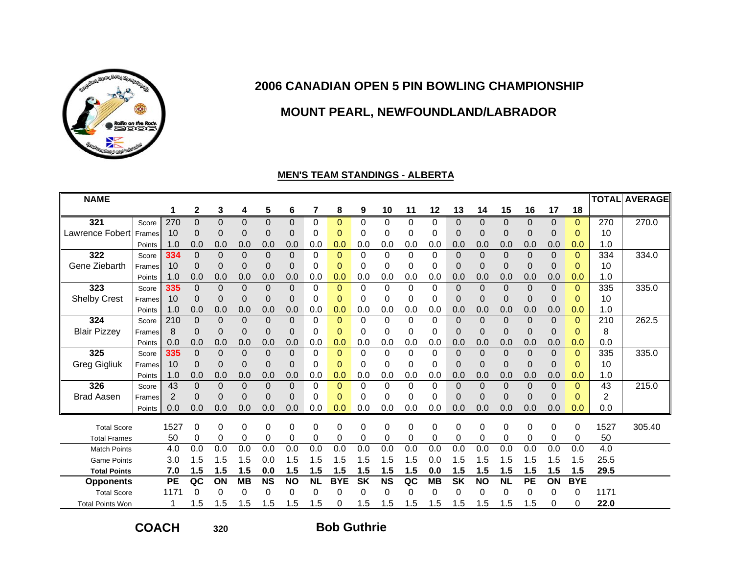

# **MOUNT PEARL, NEWFOUNDLAND/LABRADOR**

#### **MEN'S TEAM STANDINGS - ALBERTA**

| <b>NAME</b>             |        |                |             |          |                |           |                |           |                |           |           |          |           |           |             |                |                |              |              |                | <b>TOTAL AVERAGE</b> |
|-------------------------|--------|----------------|-------------|----------|----------------|-----------|----------------|-----------|----------------|-----------|-----------|----------|-----------|-----------|-------------|----------------|----------------|--------------|--------------|----------------|----------------------|
|                         |        |                | $\mathbf 2$ | 3        | 4              | 5         | 6              | 7         | 8              | 9         | 10        | 11       | 12        | 13        | 14          | 15             | 16             | 17           | 18           |                |                      |
| 321                     | Score  | 270            | 0           | 0        | 0              | 0         | $\mathbf 0$    | 0         | $\mathbf{0}$   | 0         | 0         | 0        | 0         | $\Omega$  | $\mathbf 0$ | $\mathbf 0$    | 0              | $\mathbf 0$  | $\Omega$     | 270            | 270.0                |
| <b>Lawrence Fobert</b>  | Frames | 10             | 0           | 0        | $\mathbf 0$    | 0         | 0              | 0         | 0              | 0         | 0         | 0        | 0         | 0         | 0           | 0              | 0              | 0            | $\Omega$     | 10             |                      |
|                         | Points | 1.0            | 0.0         | 0.0      | 0.0            | 0.0       | 0.0            | 0.0       | 0.0            | 0.0       | 0.0       | 0.0      | 0.0       | 0.0       | 0.0         | 0.0            | 0.0            | 0.0          | 0.0          | 1.0            |                      |
| 322                     | Score  | 334            | $\Omega$    | $\Omega$ | $\Omega$       | $\Omega$  | $\Omega$       | 0         | $\Omega$       | $\Omega$  | 0         | 0        | 0         | $\Omega$  | $\Omega$    | $\Omega$       | $\mathbf 0$    | $\mathbf 0$  | $\Omega$     | 334            | 334.0                |
| Gene Ziebarth           | Frames | 10             | 0           | $\Omega$ | $\mathbf 0$    | 0         | 0              | 0         | $\mathbf 0$    | 0         | 0         | 0        | 0         | $\Omega$  | 0           | $\mathbf 0$    | 0              | 0            | $\Omega$     | 10             |                      |
|                         | Points | 1.0            | 0.0         | 0.0      | 0.0            | 0.0       | 0.0            | 0.0       | 0.0            | 0.0       | 0.0       | 0.0      | 0.0       | 0.0       | 0.0         | 0.0            | 0.0            | 0.0          | 0.0          | 1.0            |                      |
| 323                     | Score  | 335            | $\Omega$    | 0        | $\Omega$       | $\Omega$  | $\Omega$       | 0         | $\Omega$       | 0         | $\Omega$  | $\Omega$ | 0         | 0         | $\Omega$    | $\Omega$       | $\Omega$       | $\Omega$     | $\mathbf{0}$ | 335            | 335.0                |
| <b>Shelby Crest</b>     | Frames | 10             | 0           | 0        | $\mathbf 0$    | 0         | 0              | 0         | $\mathbf 0$    | 0         | 0         | 0        | 0         | 0         | 0           | $\mathbf 0$    | $\mathbf 0$    | 0            | 0            | 10             |                      |
|                         | Points | 1.0            | 0.0         | 0.0      | 0.0            | 0.0       | 0.0            | 0.0       | 0.0            | 0.0       | 0.0       | 0.0      | 0.0       | 0.0       | 0.0         | 0.0            | 0.0            | 0.0          | 0.0          | 1.0            |                      |
| 324                     | Score  | 210            | 0           | $\Omega$ | $\mathbf 0$    | 0         | $\mathbf 0$    | 0         | $\mathbf{0}$   | $\Omega$  | 0         | 0        | 0         | $\Omega$  | $\mathbf 0$ | 0              | $\overline{0}$ | $\mathbf 0$  | $\mathbf{0}$ | 210            | 262.5                |
| <b>Blair Pizzey</b>     | Frames | 8              | 0           | 0        | 0              | 0         | 0              | 0         | $\mathbf 0$    | 0         | 0         | 0        | 0         | 0         | 0           | 0              | 0              | 0            | $\Omega$     | 8              |                      |
|                         | Points | 0.0            | 0.0         | 0.0      | 0.0            | 0.0       | 0.0            | 0.0       | 0.0            | 0.0       | 0.0       | 0.0      | 0.0       | 0.0       | 0.0         | 0.0            | 0.0            | 0.0          | 0.0          | 0.0            |                      |
| 325                     | Score  | 335            | 0           | $\Omega$ | $\Omega$       | $\Omega$  | $\Omega$       | $\Omega$  | $\mathbf{0}$   | 0         | 0         | 0        | 0         | $\Omega$  | $\Omega$    | $\mathbf{0}$   | $\mathbf 0$    | $\mathbf{0}$ | $\mathbf{0}$ | 335            | 335.0                |
| <b>Greg Gigliuk</b>     | Frames | 10             | 0           | $\Omega$ | $\mathbf 0$    | 0         | 0              | 0         | $\mathbf 0$    | 0         | 0         | 0        | 0         | $\Omega$  | 0           | $\mathbf 0$    | 0              | $\mathbf 0$  | $\Omega$     | 10             |                      |
|                         | Points | 1.0            | 0.0         | 0.0      | 0.0            | 0.0       | 0.0            | 0.0       | 0.0            | 0.0       | 0.0       | 0.0      | 0.0       | 0.0       | 0.0         | 0.0            | 0.0            | 0.0          | 0.0          | 1.0            |                      |
| 326                     | Score  | 43             | 0           | 0        | $\overline{0}$ | 0         | 0              | 0         | $\mathbf{0}$   | 0         | 0         | 0        | 0         | $\Omega$  | 0           | $\overline{0}$ | $\mathbf 0$    | 0            | $\Omega$     | 43             | 215.0                |
| <b>Brad Aasen</b>       | Frames | $\overline{2}$ | 0           | $\Omega$ | $\mathbf 0$    | 0         | $\overline{0}$ | 0         | $\overline{0}$ | 0         | 0         | 0        | 0         | $\Omega$  | $\Omega$    | $\overline{0}$ | $\overline{0}$ | 0            | $\Omega$     | $\overline{2}$ |                      |
|                         | Points | 0.0            | 0.0         | 0.0      | 0.0            | 0.0       | 0.0            | 0.0       | 0.0            | 0.0       | 0.0       | 0.0      | 0.0       | 0.0       | 0.0         | 0.0            | 0.0            | 0.0          | 0.0          | 0.0            |                      |
| <b>Total Score</b>      |        | 1527           | 0           | 0        | 0              | 0         | 0              | 0         | 0              | 0         | 0         | 0        | 0         | 0         | 0           | 0              | 0              | 0            | 0            | 1527           | 305.40               |
| <b>Total Frames</b>     |        | 50             | 0           | 0        | 0              | 0         | 0              | 0         | 0              | 0         | 0         | 0        | 0         | 0         | 0           | 0              | 0              | 0            | 0            | 50             |                      |
| <b>Match Points</b>     |        | 4.0            | 0.0         | 0.0      | 0.0            | 0.0       | 0.0            | 0.0       | 0.0            | 0.0       | 0.0       | 0.0      | 0.0       | 0.0       | 0.0         | 0.0            | 0.0            | 0.0          | 0.0          | 4.0            |                      |
| <b>Game Points</b>      |        | 3.0            | 1.5         | 1.5      | 1.5            | 0.0       | 1.5            | 1.5       | 1.5            | 1.5       | 1.5       | 1.5      | 0.0       | 1.5       | 1.5         | 1.5            | 1.5            | 1.5          | 1.5          | 25.5           |                      |
| <b>Total Points</b>     |        | 7.0            | 1.5         | 1.5      | 1.5            | 0.0       | 1.5            | 1.5       | 1.5            | 1.5       | 1.5       | 1.5      | 0.0       | 1.5       | 1.5         | 1.5            | 1.5            | 1.5          | 1.5          | 29.5           |                      |
| <b>Opponents</b>        |        | <b>PE</b>      | QC          | ON       | <b>MB</b>      | <b>NS</b> | <b>NO</b>      | <b>NL</b> | <b>BYE</b>     | <b>SK</b> | <b>NS</b> | QC       | <b>MB</b> | <b>SK</b> | <b>NO</b>   | <b>NL</b>      | <b>PE</b>      | ON           | <b>BYE</b>   |                |                      |
| <b>Total Score</b>      |        | 1171           | $\Omega$    | $\Omega$ | 0              | 0         | 0              | 0         | 0              | 0         | 0         | 0        | 0         | $\Omega$  | 0           | 0              | 0              | 0            | 0            | 1171           |                      |
| <b>Total Points Won</b> |        |                | 1.5         | 1.5      | 1.5            | 1.5       | 1.5            | 1.5       | 0              | 1.5       | 1.5       | 1.5      | 1.5       | 1.5       | 1.5         | 1.5            | 1.5            | 0            | 0            | 22.0           |                      |

**COACH**

**320**

**Bob Guthrie**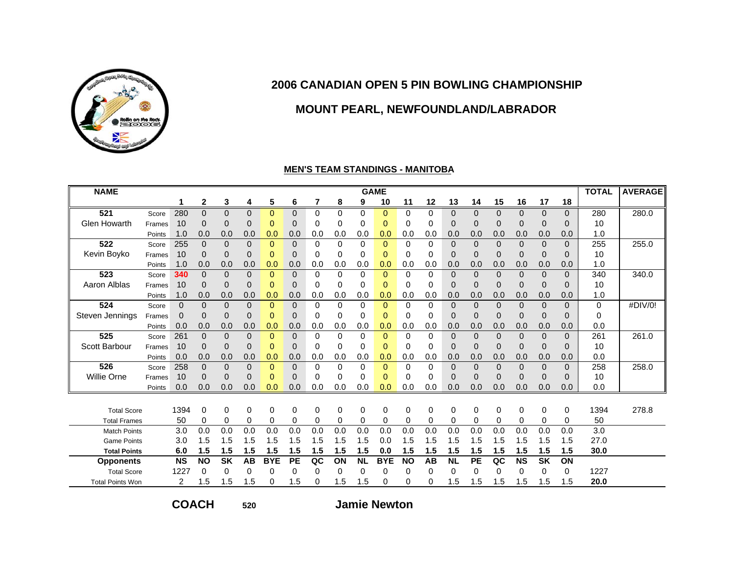

## **MOUNT PEARL, NEWFOUNDLAND/LABRADOR**

#### **MEN'S TEAM STANDINGS - MANITOBA**

| <b>NAME</b>             |        |           |              |             |                |              |              |     |          |           | <b>GAME</b> |           |          |           |          |                |              |              |              | <b>TOTAL</b> | <b>AVERAGE</b> |
|-------------------------|--------|-----------|--------------|-------------|----------------|--------------|--------------|-----|----------|-----------|-------------|-----------|----------|-----------|----------|----------------|--------------|--------------|--------------|--------------|----------------|
|                         |        |           | $\mathbf{2}$ | 3           | 4              | 5            | 6            | 7   | 8        | 9         | 10          | 11        | 12       | 13        | 14       | 15             | 16           | 17           | 18           |              |                |
| 521                     | Score  | 280       | $\Omega$     | $\Omega$    | $\overline{0}$ | $\Omega$     | $\mathbf{0}$ | 0   | $\Omega$ | $\Omega$  | $\Omega$    | $\Omega$  | $\Omega$ | $\Omega$  | $\Omega$ | $\Omega$       | $\mathbf{0}$ | $\Omega$     | $\Omega$     | 280          | 280.0          |
| <b>Glen Howarth</b>     | Frames | 10        | 0            | $\mathbf 0$ | 0              | 0            | $\mathbf 0$  | 0   | 0        | 0         | $\Omega$    | 0         | 0        | 0         | 0        | 0              | 0            | 0            | $\mathbf 0$  | 10           |                |
|                         | Points | 1.0       | 0.0          | 0.0         | 0.0            | 0.0          | 0.0          | 0.0 | 0.0      | 0.0       | 0.0         | 0.0       | 0.0      | 0.0       | 0.0      | 0.0            | 0.0          | 0.0          | 0.0          | 1.0          |                |
| 522                     | Score  | 255       | $\Omega$     | $\mathbf 0$ | $\mathbf 0$    | $\mathbf{0}$ | $\mathbf 0$  | 0   | 0        | 0         | $\Omega$    | $\Omega$  | $\Omega$ | 0         | $\Omega$ | $\mathbf 0$    | $\mathbf 0$  | $\mathbf{0}$ | $\mathbf{0}$ | 255          | 255.0          |
| Kevin Boyko             | Frames | 10        | 0            | 0           | 0              | $\Omega$     | 0            | 0   | 0        | 0         | $\Omega$    | 0         | $\Omega$ | 0         | 0        | 0              | 0            | 0            | $\Omega$     | 10           |                |
|                         | Points | 1.0       | 0.0          | 0.0         | 0.0            | 0.0          | 0.0          | 0.0 | 0.0      | 0.0       | 0.0         | 0.0       | 0.0      | 0.0       | 0.0      | 0.0            | 0.0          | 0.0          | 0.0          | 1.0          |                |
| 523                     | Score  | 340       | $\Omega$     | $\mathbf 0$ | $\mathbf 0$    | $\Omega$     | $\mathbf 0$  | 0   | 0        | $\Omega$  | $\Omega$    | $\Omega$  | $\Omega$ | 0         | $\Omega$ | $\mathbf{0}$   | $\mathbf 0$  | $\mathbf{0}$ | $\mathbf{0}$ | 340          | 340.0          |
| Aaron Alblas            | Frames | 10        | $\Omega$     | 0           | $\mathbf 0$    | 0            | $\mathbf 0$  | 0   | 0        | 0         | $\Omega$    | 0         | $\Omega$ | 0         | $\Omega$ | 0              | $\mathbf 0$  | 0            | $\mathbf{0}$ | 10           |                |
|                         | Points | 1.0       | 0.0          | 0.0         | 0.0            | 0.0          | 0.0          | 0.0 | 0.0      | 0.0       | 0.0         | 0.0       | 0.0      | 0.0       | 0.0      | 0.0            | 0.0          | 0.0          | 0.0          | 1.0          |                |
| 524                     | Score  | 0         | $\Omega$     | $\mathbf 0$ | $\mathbf 0$    | $\Omega$     | $\mathbf 0$  | 0   | 0        | $\Omega$  | $\Omega$    | $\Omega$  | $\Omega$ | 0         | $\Omega$ | $\overline{0}$ | $\mathbf 0$  | $\Omega$     | $\mathbf{0}$ | 0            | #DIV/0!        |
| Steven Jennings         | Frames | 0         | 0            | $\mathbf 0$ | 0              | 0            | $\mathbf 0$  | 0   | 0        | 0         | 0           | 0         | 0        | 0         | 0        | $\mathbf 0$    | 0            | $\mathbf{0}$ | $\mathbf{0}$ | 0            |                |
|                         | Points | 0.0       | 0.0          | 0.0         | 0.0            | 0.0          | 0.0          | 0.0 | 0.0      | 0.0       | 0.0         | 0.0       | 0.0      | 0.0       | 0.0      | 0.0            | 0.0          | 0.0          | 0.0          | 0.0          |                |
| 525                     | Score  | 261       | 0            | $\Omega$    | $\mathbf 0$    | $\Omega$     | $\mathbf 0$  | 0   | $\Omega$ | $\Omega$  | $\Omega$    | $\Omega$  | $\Omega$ | 0         | 0        | $\Omega$       | $\mathbf 0$  | $\mathbf{0}$ | $\Omega$     | 261          | 261.0          |
| Scott Barbour           | Frames | 10        | $\Omega$     | 0           | $\mathbf 0$    | 0            | $\mathbf 0$  | 0   | 0        | 0         | $\Omega$    | 0         | 0        | 0         | $\Omega$ | 0              | $\mathbf 0$  | 0            | $\mathbf{0}$ | 10           |                |
|                         | Points | 0.0       | 0.0          | 0.0         | 0.0            | 0.0          | 0.0          | 0.0 | 0.0      | 0.0       | 0.0         | 0.0       | 0.0      | 0.0       | 0.0      | 0.0            | 0.0          | 0.0          | 0.0          | 0.0          |                |
| 526                     | Score  | 258       | $\Omega$     | $\Omega$    | $\overline{0}$ | $\Omega$     | $\mathbf 0$  | 0   | 0        | $\Omega$  | $\Omega$    | $\Omega$  | $\Omega$ | 0         | $\Omega$ | $\Omega$       | $\mathbf 0$  | $\Omega$     | $\Omega$     | 258          | 258.0          |
| <b>Willie Orne</b>      | Frames | 10        | 0            | $\Omega$    | 0              | 0            | 0            | 0   | 0        | 0         | 0           | 0         | 0        | 0         | $\Omega$ | $\Omega$       | 0            | $\Omega$     | $\mathbf{0}$ | 10           |                |
|                         | Points | 0.0       | 0.0          | 0.0         | 0.0            | 0.0          | 0.0          | 0.0 | 0.0      | 0.0       | 0.0         | 0.0       | 0.0      | 0.0       | 0.0      | 0.0            | 0.0          | 0.0          | 0.0          | 0.0          |                |
|                         |        |           |              |             |                |              |              |     |          |           |             |           |          |           |          |                |              |              |              |              |                |
| <b>Total Score</b>      |        | 1394      | 0            | $\Omega$    | 0              | $\Omega$     | 0            | 0   | $\Omega$ | 0         | 0           | 0         | $\Omega$ | 0         | $\Omega$ | 0              | 0            | 0            | 0            | 1394         | 278.8          |
| <b>Total Frames</b>     |        | 50        | 0            | 0           | 0              | $\Omega$     | 0            | 0   | 0        | 0         | 0           | $\Omega$  | 0        | 0         | $\Omega$ | 0              | 0            | 0            | 0            | 50           |                |
| <b>Match Points</b>     |        | 3.0       | 0.0          | 0.0         | 0.0            | 0.0          | 0.0          | 0.0 | 0.0      | 0.0       | 0.0         | 0.0       | 0.0      | 0.0       | 0.0      | 0.0            | 0.0          | 0.0          | 0.0          | 3.0          |                |
| <b>Game Points</b>      |        | 3.0       | 1.5          | 1.5         | 1.5            | 1.5          | 1.5          | 1.5 | 1.5      | 1.5       | 0.0         | 1.5       | 1.5      | 1.5       | 1.5      | 1.5            | 1.5          | 1.5          | 1.5          | 27.0         |                |
| <b>Total Points</b>     |        | 6.0       | 1.5          | 1.5         | 1.5            | 1.5          | 1.5          | 1.5 | 1.5      | 1.5       | 0.0         | 1.5       | 1.5      | 1.5       | 1.5      | 1.5            | 1.5          | 1.5          | 1.5          | 30.0         |                |
| <b>Opponents</b>        |        | <b>NS</b> | <b>NO</b>    | <b>SK</b>   | AB             | <b>BYE</b>   | PE           | QC  | ON       | <b>NL</b> | <b>BYE</b>  | <b>NO</b> | AB       | <b>NL</b> | PE       | QC             | <b>NS</b>    | <b>SK</b>    | ON           |              |                |
| <b>Total Score</b>      |        | 1227      | 0            | 0           | $\Omega$       | $\Omega$     | 0            | 0   | 0        | 0         | 0           | 0         | 0        | 0         | 0        | 0              | $\Omega$     | 0            | 0            | 1227         |                |
| <b>Total Points Won</b> |        | 2         | 1.5          | 1.5         | 1.5            | $\Omega$     | 1.5          | 0   | 1.5      | 1.5       | 0           | 0         | $\Omega$ | 1.5       | 1.5      | 1.5            | 1.5          | 1.5          | 1.5          | 20.0         |                |

**COACH**

**520**

**Jamie Newton**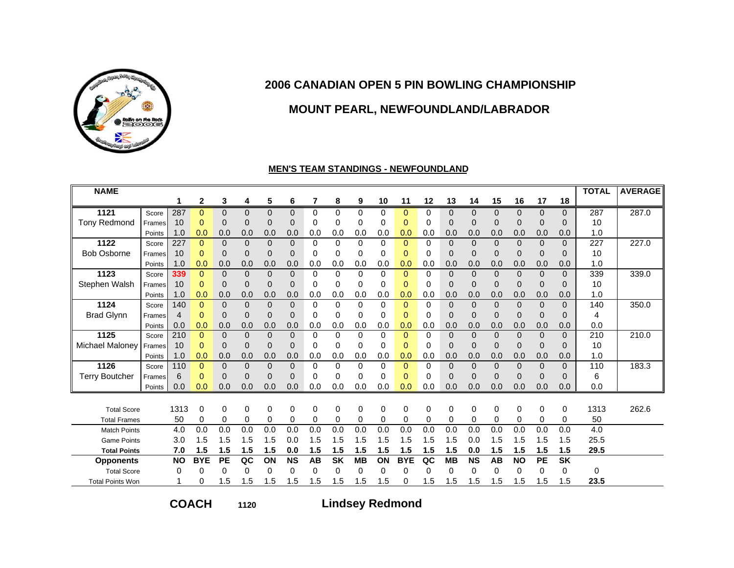

## **MOUNT PEARL, NEWFOUNDLAND/LABRADOR**

#### **MEN'S TEAM STANDINGS - NEWFOUNDLAND**

| <b>NAME</b>             |        |                |                |             |                |          |           |          |             |             |          |                |          |              |             |                |                |              |                | <b>TOTAL</b> | <b>AVERAGE</b> |
|-------------------------|--------|----------------|----------------|-------------|----------------|----------|-----------|----------|-------------|-------------|----------|----------------|----------|--------------|-------------|----------------|----------------|--------------|----------------|--------------|----------------|
|                         |        | 1              | $\mathbf{2}$   | 3           | 4              | 5        | 6         | 7        | 8           | 9           | 10       | 11             | 12       | 13           | 14          | 15             | 16             | 17           | 18             |              |                |
| 1121                    | Score  | 287            | $\Omega$       | $\Omega$    | $\Omega$       | 0        | $\Omega$  | $\Omega$ | $\Omega$    | $\Omega$    | $\Omega$ | $\Omega$       | 0        | $\Omega$     | $\Omega$    | $\Omega$       | $\Omega$       | $\Omega$     | $\Omega$       | 287          | 287.0          |
| <b>Tony Redmond</b>     | Frames | 10             | $\mathbf{0}$   | $\Omega$    | $\overline{0}$ | 0        | $\Omega$  | 0        | 0           | 0           | $\Omega$ | $\mathbf{0}$   | 0        | $\Omega$     | $\mathbf 0$ | 0              | 0              | $\Omega$     | 0              | 10           |                |
|                         | Points | 1.0            | 0.0            | 0.0         | 0.0            | 0.0      | 0.0       | 0.0      | 0.0         | 0.0         | 0.0      | 0.0            | 0.0      | 0.0          | 0.0         | 0.0            | 0.0            | 0.0          | 0.0            | 1.0          |                |
| 1122                    | Score  | 227            | $\mathbf{0}$   | $\Omega$    | $\overline{0}$ | 0        | $\Omega$  | 0        | $\mathbf 0$ | 0           | $\Omega$ | $\mathbf{0}$   | 0        | $\mathbf{0}$ | $\mathbf 0$ | $\overline{0}$ | $\mathbf{0}$   | $\mathbf{0}$ | $\overline{0}$ | 227          | 227.0          |
| <b>Bob Osborne</b>      | Frames | 10             | $\mathbf{0}$   | $\Omega$    | 0              | 0        | $\Omega$  | 0        | $\Omega$    | 0           | $\Omega$ | $\overline{0}$ | 0        | $\Omega$     | $\mathbf 0$ | $\overline{0}$ | $\mathbf 0$    | $\Omega$     | $\Omega$       | 10           |                |
|                         | Points | 1.0            | 0.0            | 0.0         | 0.0            | 0.0      | 0.0       | 0.0      | 0.0         | 0.0         | 0.0      | 0.0            | 0.0      | 0.0          | 0.0         | 0.0            | 0.0            | 0.0          | 0.0            | 1.0          |                |
| 1123                    | Score  | 339            | $\Omega$       | $\Omega$    | 0              | 0        | $\Omega$  | $\Omega$ | $\Omega$    | $\Omega$    | $\Omega$ | $\overline{0}$ | 0        | $\Omega$     | $\mathbf 0$ | $\overline{0}$ | $\overline{0}$ | $\mathbf{0}$ | $\overline{0}$ | 339          | 339.0          |
| Stephen Walsh           | Frames | 10             | $\mathbf 0$    | $\mathbf 0$ | 0              | 0        | 0         | 0        | 0           | 0           | $\Omega$ | $\mathbf{0}$   | 0        | 0            | $\mathbf 0$ | 0              | 0              | $\mathbf 0$  | 0              | 10           |                |
|                         | Points | 1.0            | 0.0            | 0.0         | 0.0            | 0.0      | 0.0       | 0.0      | 0.0         | 0.0         | 0.0      | 0.0            | 0.0      | 0.0          | 0.0         | 0.0            | 0.0            | 0.0          | 0.0            | 1.0          |                |
| 1124                    | Score  | 140            | $\mathbf{0}$   | $\Omega$    | 0              | $\Omega$ | $\Omega$  | $\Omega$ | $\Omega$    | $\Omega$    | $\Omega$ | $\Omega$       | 0        | $\Omega$     | $\mathbf 0$ | $\overline{0}$ | $\overline{0}$ | $\Omega$     | $\Omega$       | 140          | 350.0          |
| <b>Brad Glynn</b>       | Frames | $\overline{4}$ | $\mathbf{0}$   | 0           | 0              | 0        | $\Omega$  | 0        | 0           | 0           | $\Omega$ | $\overline{0}$ | 0        | $\Omega$     | $\mathbf 0$ | 0              | $\mathbf 0$    | $\mathbf 0$  | 0              | 4            |                |
|                         | Points | 0.0            | 0.0            | 0.0         | 0.0            | 0.0      | 0.0       | 0.0      | 0.0         | 0.0         | 0.0      | 0.0            | 0.0      | 0.0          | 0.0         | 0.0            | 0.0            | 0.0          | 0.0            | 0.0          |                |
| 1125                    | Score  | 210            | $\Omega$       | $\Omega$    | 0              | 0        | $\Omega$  | $\Omega$ | 0           | $\Omega$    | $\Omega$ | $\mathbf{0}$   | 0        | $\mathbf{0}$ | $\mathbf 0$ | $\mathbf 0$    | $\mathbf{0}$   | $\mathbf 0$  | $\overline{0}$ | 210          | 210.0          |
| Michael Maloney         | Frames | 10             | $\mathbf 0$    | $\Omega$    | 0              | 0        | $\Omega$  | 0        | 0           | 0           | $\Omega$ | $\mathbf{0}$   | 0        | $\Omega$     | $\mathbf 0$ | 0              | 0              | $\Omega$     | 0              | 10           |                |
|                         | Points | 1.0            | 0.0            | 0.0         | 0.0            | 0.0      | 0.0       | 0.0      | 0.0         | 0.0         | 0.0      | 0.0            | 0.0      | 0.0          | 0.0         | 0.0            | 0.0            | 0.0          | 0.0            | 1.0          |                |
| 1126                    | Score  | 110            | $\overline{0}$ | $\Omega$    | $\overline{0}$ | $\Omega$ | $\Omega$  | $\Omega$ | $\Omega$    | $\Omega$    | $\Omega$ | $\Omega$       | $\Omega$ | $\Omega$     | $\Omega$    | $\overline{0}$ | $\mathbf 0$    | $\Omega$     | $\overline{0}$ | 110          | 183.3          |
| <b>Terry Boutcher</b>   | Frames | 6              | $\mathbf{0}$   | $\Omega$    | 0              | 0        | $\Omega$  | 0        | 0           | 0           | $\Omega$ | 0              | 0        | $\Omega$     | $\Omega$    | 0              | $\Omega$       | $\Omega$     | 0              | 6            |                |
|                         | Points | 0.0            | 0.0            | 0.0         | 0.0            | 0.0      | 0.0       | 0.0      | 0.0         | 0.0         | 0.0      | 0.0            | 0.0      | 0.0          | 0.0         | 0.0            | 0.0            | 0.0          | 0.0            | 0.0          |                |
|                         |        |                |                |             |                |          |           |          |             |             |          |                |          |              |             |                |                |              |                |              |                |
| <b>Total Score</b>      |        | 1313           | 0              | $\Omega$    | 0              | $\Omega$ | $\Omega$  | 0        | $\mathbf 0$ | $\mathbf 0$ | $\Omega$ | 0              | $\Omega$ | $\Omega$     | 0           | $\mathbf 0$    | 0              | 0            | 0              | 1313         | 262.6          |
| <b>Total Frames</b>     |        | 50             | 0              | 0           | 0              | 0        | 0         | 0        | 0           | 0           | $\Omega$ | 0              | 0        | 0            | 0           | $\mathbf 0$    | $\mathbf 0$    | $\Omega$     | 0              | 50           |                |
| <b>Match Points</b>     |        | 4.0            | 0.0            | 0.0         | 0.0            | 0.0      | 0.0       | 0.0      | 0.0         | 0.0         | 0.0      | 0.0            | 0.0      | 0.0          | 0.0         | 0.0            | 0.0            | 0.0          | 0.0            | 4.0          |                |
| <b>Game Points</b>      |        | 3.0            | 1.5            | 1.5         | 1.5            | 1.5      | 0.0       | 1.5      | 1.5         | 1.5         | 1.5      | 1.5            | 1.5      | 1.5          | 0.0         | 1.5            | 1.5            | 1.5          | 1.5            | 25.5         |                |
| <b>Total Points</b>     |        | 7.0            | 1.5            | 1.5         | 1.5            | 1.5      | 0.0       | 1.5      | 1.5         | 1.5         | 1.5      | 1.5            | 1.5      | 1.5          | 0.0         | 1.5            | 1.5            | 1.5          | 1.5            | 29.5         |                |
| <b>Opponents</b>        |        | <b>NO</b>      | <b>BYE</b>     | PE          | QC             | ON       | <b>NS</b> | AB       | <b>SK</b>   | <b>MB</b>   | ON       | <b>BYE</b>     | QC       | <b>MB</b>    | <b>NS</b>   | <b>AB</b>      | <b>NO</b>      | PE           | <b>SK</b>      |              |                |
| <b>Total Score</b>      |        | 0              | 0              | 0           | 0              | 0        | 0         | $\Omega$ | 0           | 0           | 0        | 0              | 0        | 0            | $\Omega$    | 0              | 0              | 0            | 0              | 0            |                |
| <b>Total Points Won</b> |        |                | 0              | 1.5         | 1.5            | 1.5      | 1.5       | 1.5      | 1.5         | 1.5         | 1.5      | 0              | 1.5      | 1.5          | 1.5         | 1.5            | 1.5            | 1.5          | 1.5            | 23.5         |                |

**COACH**

**1120**

**Lindsey Redmond**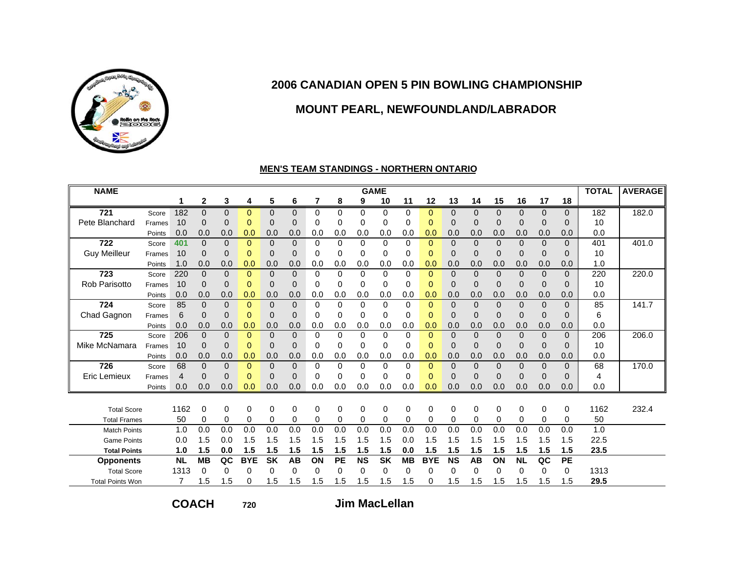

# **MOUNT PEARL, NEWFOUNDLAND/LABRADOR**

#### **MEN'S TEAM STANDINGS - NORTHERN ONTARIO**

| <b>NAME</b>             |        |           |              |          |              |              |              |          |          | <b>GAME</b> |           |           |              |           |          |              |              |              |                | <b>TOTAL</b> | <b>AVERAGE</b> |
|-------------------------|--------|-----------|--------------|----------|--------------|--------------|--------------|----------|----------|-------------|-----------|-----------|--------------|-----------|----------|--------------|--------------|--------------|----------------|--------------|----------------|
|                         |        | 1         | $\mathbf{2}$ | 3        | 4            | 5            | 6            | 7        | 8        | 9           | 10        | 11        | 12           | 13        | 14       | 15           | 16           | 17           | 18             |              |                |
| 721                     | Score  | 182       | 0            | $\Omega$ | $\Omega$     | $\mathbf{0}$ | $\mathbf{0}$ | 0        | $\Omega$ | $\Omega$    | $\Omega$  | $\Omega$  | $\Omega$     | $\Omega$  | 0        | $\Omega$     | $\mathbf{0}$ | $\mathbf{0}$ | $\overline{0}$ | 182          | 182.0          |
| Pete Blanchard          | Frames | 10        | 0            | $\Omega$ | $\mathbf 0$  | 0            | $\mathbf 0$  | 0        | 0        | 0           | 0         | 0         | 0            | 0         | 0        | 0            | 0            | 0            | $\Omega$       | 10           |                |
|                         | Points | 0.0       | 0.0          | 0.0      | 0.0          | 0.0          | 0.0          | 0.0      | 0.0      | 0.0         | 0.0       | 0.0       | 0.0          | 0.0       | 0.0      | 0.0          | 0.0          | 0.0          | 0.0            | 0.0          |                |
| 722                     | Score  | 401       | $\Omega$     | $\Omega$ | $\mathbf{0}$ | $\mathbf 0$  | $\Omega$     | 0        | 0        | $\Omega$    | $\Omega$  | $\Omega$  | $\Omega$     | $\Omega$  | $\Omega$ | $\mathbf{0}$ | $\mathbf 0$  | $\mathbf{0}$ | $\mathbf{0}$   | 401          | 401.0          |
| <b>Guy Meilleur</b>     | Frames | 10        | 0            | $\Omega$ | $\Omega$     | $\Omega$     | $\mathbf 0$  | 0        | 0        | 0           | 0         | 0         | $\Omega$     | 0         | $\Omega$ | 0            | 0            | $\Omega$     | $\Omega$       | 10           |                |
|                         | Points | 1.0       | 0.0          | 0.0      | 0.0          | 0.0          | 0.0          | 0.0      | 0.0      | 0.0         | 0.0       | 0.0       | 0.0          | 0.0       | 0.0      | 0.0          | 0.0          | 0.0          | 0.0            | 1.0          |                |
| 723                     | Score  | 220       | $\Omega$     | $\Omega$ | $\Omega$     | $\mathbf{0}$ | $\mathbf{0}$ | 0        | 0        | $\Omega$    | $\Omega$  | $\Omega$  | $\Omega$     | $\Omega$  | $\Omega$ | $\Omega$     | $\mathbf 0$  | $\mathbf{0}$ | $\mathbf{0}$   | 220          | 220.0          |
| <b>Rob Parisotto</b>    | Frames | 10        | $\Omega$     | $\Omega$ | $\mathbf{0}$ | 0            | $\mathbf 0$  | 0        | 0        | 0           | 0         | 0         | $\Omega$     | 0         | 0        | 0            | $\mathbf 0$  | 0            | $\mathbf 0$    | 10           |                |
|                         | Points | 0.0       | 0.0          | 0.0      | 0.0          | 0.0          | 0.0          | 0.0      | 0.0      | 0.0         | 0.0       | 0.0       | 0.0          | 0.0       | 0.0      | 0.0          | 0.0          | 0.0          | 0.0            | 0.0          |                |
| 724                     | Score  | 85        | $\Omega$     | $\Omega$ | $\Omega$     | $\Omega$     | $\Omega$     | $\Omega$ | $\Omega$ | $\Omega$    | $\Omega$  | $\Omega$  | $\Omega$     | $\Omega$  | $\Omega$ | $\mathbf 0$  | $\mathbf 0$  | $\Omega$     | $\Omega$       | 85           | 141.7          |
| Chad Gagnon             | Frames | 6         | $\Omega$     | $\Omega$ | $\mathbf 0$  | $\Omega$     | $\mathbf 0$  | 0        | 0        | 0           | 0         | 0         | $\mathbf{0}$ | 0         | 0        | 0            | 0            | $\mathbf{0}$ | $\mathbf 0$    | 6            |                |
|                         | Points | 0.0       | 0.0          | 0.0      | 0.0          | 0.0          | 0.0          | 0.0      | 0.0      | 0.0         | 0.0       | 0.0       | 0.0          | 0.0       | 0.0      | 0.0          | 0.0          | 0.0          | 0.0            | 0.0          |                |
| 725                     | Score  | 206       | $\Omega$     | $\Omega$ | $\Omega$     | $\Omega$     | $\Omega$     | 0        | $\Omega$ | $\Omega$    | $\Omega$  | $\Omega$  | $\Omega$     | $\Omega$  | $\Omega$ | $\Omega$     | $\Omega$     | $\Omega$     | $\Omega$       | 206          | 206.0          |
| Mike McNamara           | Frames | 10        | $\Omega$     | 0        | $\mathbf 0$  | 0            | $\mathbf 0$  | 0        | 0        | 0           | 0         | 0         | $\Omega$     | 0         | 0        | 0            | 0            | 0            | $\mathbf 0$    | 10           |                |
|                         | Points | 0.0       | 0.0          | 0.0      | 0.0          | 0.0          | 0.0          | 0.0      | 0.0      | 0.0         | 0.0       | 0.0       | 0.0          | 0.0       | 0.0      | 0.0          | 0.0          | 0.0          | 0.0            | 0.0          |                |
| 726                     | Score  | 68        | $\Omega$     | $\Omega$ | $\Omega$     | $\Omega$     | $\Omega$     | $\Omega$ | $\Omega$ | $\Omega$    | $\Omega$  | $\Omega$  | $\Omega$     | $\Omega$  | $\Omega$ | $\Omega$     | $\Omega$     | $\Omega$     | $\Omega$       | 68           | 170.0          |
| Eric Lemieux            | Frames | 4         | 0            | $\Omega$ | $\Omega$     | $\Omega$     | $\Omega$     | 0        | 0        | $\Omega$    | 0         | 0         | $\Omega$     | $\Omega$  | $\Omega$ | $\Omega$     | $\Omega$     | $\Omega$     | $\Omega$       | 4            |                |
|                         | Points | 0.0       | 0.0          | 0.0      | 0.0          | 0.0          | 0.0          | 0.0      | 0.0      | 0.0         | 0.0       | 0.0       | 0.0          | 0.0       | 0.0      | 0.0          | 0.0          | 0.0          | 0.0            | 0.0          |                |
|                         |        |           |              |          |              |              |              |          |          |             |           |           |              |           |          |              |              |              |                |              |                |
| <b>Total Score</b>      |        | 1162      | 0            | $\Omega$ | 0            | $\Omega$     | $\Omega$     | 0        | 0        | $\Omega$    | 0         | $\Omega$  | $\Omega$     | 0         | $\Omega$ | $\Omega$     | 0            | 0            | $\mathbf 0$    | 1162         | 232.4          |
| <b>Total Frames</b>     |        | 50        | $\Omega$     | 0        | 0            | $\Omega$     | $\Omega$     | 0        | 0        | 0           | 0         | 0         | $\Omega$     | 0         | 0        | 0            | 0            | 0            | 0              | 50           |                |
| <b>Match Points</b>     |        | 1.0       | 0.0          | 0.0      | 0.0          | 0.0          | 0.0          | 0.0      | 0.0      | 0.0         | 0.0       | 0.0       | 0.0          | 0.0       | 0.0      | 0.0          | 0.0          | 0.0          | 0.0            | 1.0          |                |
| <b>Game Points</b>      |        | 0.0       | 1.5          | 0.0      | 1.5          | 1.5          | 1.5          | 1.5      | 1.5      | 1.5         | 1.5       | 0.0       | 1.5          | 1.5       | 1.5      | 1.5          | 1.5          | 1.5          | 1.5            | 22.5         |                |
| <b>Total Points</b>     |        | 1.0       | 1.5          | 0.0      | 1.5          | 1.5          | 1.5          | 1.5      | 1.5      | 1.5         | 1.5       | 0.0       | 1.5          | 1.5       | 1.5      | 1.5          | 1.5          | 1.5          | 1.5            | 23.5         |                |
| <b>Opponents</b>        |        | <b>NL</b> | <b>MB</b>    | QC       | <b>BYE</b>   | <b>SK</b>    | AB           | ON       | PE       | <b>NS</b>   | <b>SK</b> | <b>MB</b> | <b>BYE</b>   | <b>NS</b> | AB       | ON           | <b>NL</b>    | QC           | PE             |              |                |
| <b>Total Score</b>      |        | 1313      | 0            | 0        | 0            | 0            | $\Omega$     | 0        | 0        | $\Omega$    | 0         | 0         | 0            | 0         | 0        | $\Omega$     | $\Omega$     | 0            | $\mathbf 0$    | 1313         |                |
| <b>Total Points Won</b> |        | 7         | 1.5          | 1.5      | 0            | 1.5          | 1.5          | 1.5      | 1.5      | 1.5         | 1.5       | 1.5       | $\Omega$     | 1.5       | 1.5      | 1.5          | 1.5          | 1.5          | 1.5            | 29.5         |                |

**COACH**

**720**

**Jim MacLellan**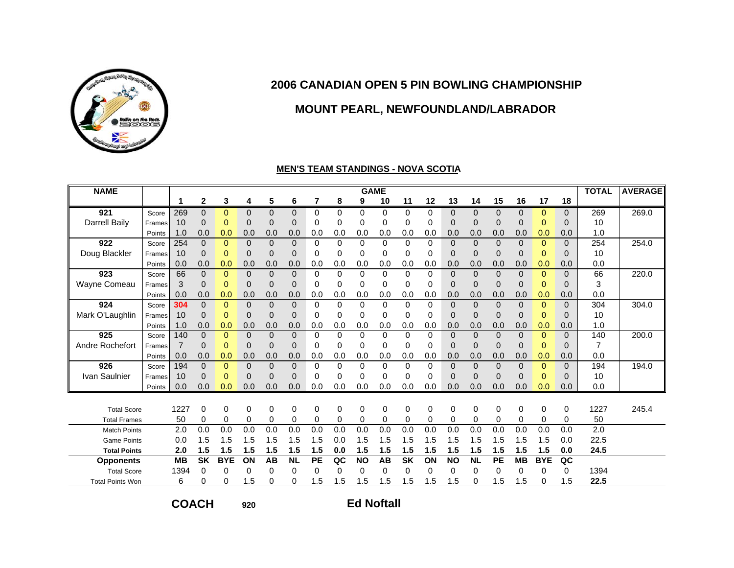

## **MOUNT PEARL, NEWFOUNDLAND/LABRADOR**

#### **MEN'S TEAM STANDINGS - NOVA SCOTIA**

| <b>NAME</b>             |        |                |              |            |                |                |              |          |          |             | <b>GAME</b> |           |          |                |           |          |                |              |              | <b>TOTAL</b> | <b>AVERAGE</b> |
|-------------------------|--------|----------------|--------------|------------|----------------|----------------|--------------|----------|----------|-------------|-------------|-----------|----------|----------------|-----------|----------|----------------|--------------|--------------|--------------|----------------|
|                         |        | 1              | $\mathbf{2}$ | 3          | 4              | 5              | 6            | 7        | 8        | 9           | 10          | 11        | 12       | 13             | 14        | 15       | 16             | 17           | 18           |              |                |
| 921                     | Score  | 269            | $\Omega$     | $\Omega$   | $\Omega$       | $\Omega$       | $\Omega$     | 0        | $\Omega$ | $\Omega$    | 0           | $\Omega$  | $\Omega$ | $\Omega$       | $\Omega$  | $\Omega$ | $\Omega$       | $\Omega$     | $\Omega$     | 269          | 269.0          |
| <b>Darrell Baily</b>    | Frames | 10             | 0            | 0          | 0              | $\mathbf{0}$   | $\mathbf{0}$ | 0        | 0        | 0           | 0           | 0         | 0        | $\mathbf{0}$   | 0         | 0        | 0              | $\mathbf 0$  | $\mathbf{0}$ | 10           |                |
|                         | Points | 1.0            | 0.0          | 0.0        | 0.0            | 0.0            | 0.0          | 0.0      | 0.0      | 0.0         | 0.0         | 0.0       | 0.0      | 0.0            | 0.0       | 0.0      | 0.0            | 0.0          | 0.0          | 1.0          |                |
| 922                     | Score  | 254            | $\Omega$     | $\Omega$   | $\Omega$       | $\Omega$       | $\Omega$     | 0        | $\Omega$ | $\Omega$    | $\Omega$    | $\Omega$  | $\Omega$ | $\Omega$       | $\Omega$  | $\Omega$ | $\Omega$       | $\mathbf{0}$ | $\Omega$     | 254          | 254.0          |
| Doug Blackler           | Frames | 10             | 0            | $\Omega$   | 0              | $\mathbf{0}$   | $\mathbf{0}$ | 0        | 0        | 0           | 0           | 0         | $\Omega$ | $\overline{0}$ | 0         | $\Omega$ | 0              | $\mathbf 0$  | $\Omega$     | 10           |                |
|                         | Points | 0.0            | 0.0          | 0.0        | 0.0            | 0.0            | 0.0          | 0.0      | 0.0      | 0.0         | 0.0         | 0.0       | 0.0      | 0.0            | 0.0       | 0.0      | 0.0            | 0.0          | 0.0          | 0.0          |                |
| 923                     | Score  | 66             | $\Omega$     | $\Omega$   | $\Omega$       | $\Omega$       | $\Omega$     | $\Omega$ | $\Omega$ | $\Omega$    | $\Omega$    | $\Omega$  | $\Omega$ | $\Omega$       | $\Omega$  | $\Omega$ | $\Omega$       | $\Omega$     | $\Omega$     | 66           | 220.0          |
| Wayne Comeau            | Frames | 3              | $\Omega$     | $\Omega$   | $\overline{0}$ | $\mathbf{0}$   | $\mathbf{0}$ | 0        | 0        | $\Omega$    | 0           | 0         | 0        | $\Omega$       | $\Omega$  | $\Omega$ | $\overline{0}$ | $\mathbf 0$  | $\Omega$     | 3            |                |
|                         | Points | 0.0            | 0.0          | 0.0        | 0.0            | 0.0            | 0.0          | 0.0      | 0.0      | 0.0         | 0.0         | 0.0       | 0.0      | 0.0            | 0.0       | 0.0      | 0.0            | 0.0          | 0.0          | 0.0          |                |
| 924                     | Score  | 304            | $\Omega$     | $\Omega$   | $\Omega$       | $\Omega$       | $\Omega$     | 0        | $\Omega$ | $\Omega$    | $\Omega$    | $\Omega$  | $\Omega$ | $\Omega$       | $\Omega$  | $\Omega$ | $\Omega$       | $\Omega$     | $\Omega$     | 304          | 304.0          |
| Mark O'Laughlin         | Frames | 10             | 0            | $\Omega$   | $\Omega$       | $\Omega$       | $\mathbf{0}$ | 0        | 0        | 0           | 0           | $\Omega$  | $\Omega$ | $\Omega$       | $\Omega$  | $\Omega$ | $\overline{0}$ | $\Omega$     | $\Omega$     | 10           |                |
|                         | Points | 1.0            | 0.0          | 0.0        | 0.0            | 0.0            | 0.0          | 0.0      | 0.0      | 0.0         | 0.0         | 0.0       | 0.0      | 0.0            | 0.0       | 0.0      | 0.0            | 0.0          | 0.0          | 1.0          |                |
| 925                     | Score  | 140            | $\Omega$     | $\Omega$   | $\Omega$       | $\Omega$       | $\Omega$     | 0        | $\Omega$ | $\Omega$    | $\Omega$    | $\Omega$  | $\Omega$ | $\Omega$       | $\Omega$  | $\Omega$ | $\Omega$       | $\Omega$     | $\Omega$     | 140          | 200.0          |
| Andre Rochefort         | Frames | $\overline{7}$ | $\Omega$     | $\Omega$   | 0              | $\mathbf{0}$   | $\mathbf{0}$ | $\Omega$ | 0        | $\Omega$    | 0           | 0         | 0        | $\Omega$       | $\Omega$  | $\Omega$ | $\overline{0}$ | $\mathbf 0$  | $\Omega$     | 7            |                |
|                         | Points | 0.0            | 0.0          | 0.0        | 0.0            | 0.0            | 0.0          | 0.0      | 0.0      | 0.0         | 0.0         | 0.0       | 0.0      | 0.0            | 0.0       | 0.0      | 0.0            | 0.0          | 0.0          | 0.0          |                |
| 926                     | Score  | 194            | $\Omega$     | $\Omega$   | $\overline{0}$ | $\overline{0}$ | $\mathbf{0}$ | $\Omega$ | $\Omega$ | $\Omega$    | $\Omega$    | $\Omega$  | $\Omega$ | $\Omega$       | $\Omega$  | $\Omega$ | $\Omega$       | $\Omega$     | $\Omega$     | 194          | 194.0          |
| Ivan Saulnier           | Frames | 10             | 0            | $\Omega$   | $\Omega$       | $\Omega$       | 0            | 0        | 0        | 0           | 0           | 0         | $\Omega$ | $\Omega$       | 0         | $\Omega$ | 0              | $\Omega$     | $\Omega$     | 10           |                |
|                         | Points | 0.0            | 0.0          | 0.0        | 0.0            | 0.0            | 0.0          | 0.0      | 0.0      | 0.0         | 0.0         | 0.0       | 0.0      | 0.0            | 0.0       | 0.0      | 0.0            | 0.0          | 0.0          | 0.0          |                |
|                         |        |                |              |            |                |                |              |          |          |             |             |           |          |                |           |          |                |              |              |              |                |
| <b>Total Score</b>      |        | 1227           | 0            | $\Omega$   | 0              | 0              | $\mathbf 0$  | $\Omega$ | 0        | $\Omega$    | 0           | 0         | $\Omega$ | 0              | $\Omega$  | 0        | $\Omega$       | 0            | $\mathbf 0$  | 1227         | 245.4          |
| <b>Total Frames</b>     |        | 50             | 0            | 0          | 0              | $\mathbf 0$    | $\mathbf 0$  | 0        | 0        | $\mathbf 0$ | 0           | 0         | 0        | 0              | 0         | 0        | 0              | 0            | 0            | 50           |                |
| <b>Match Points</b>     |        | 2.0            | 0.0          | 0.0        | 0.0            | 0.0            | 0.0          | 0.0      | 0.0      | 0.0         | 0.0         | 0.0       | 0.0      | 0.0            | 0.0       | 0.0      | 0.0            | 0.0          | 0.0          | 2.0          |                |
| <b>Game Points</b>      |        | 0.0            | 1.5          | 1.5        | 1.5            | 1.5            | 1.5          | 1.5      | 0.0      | 1.5         | 1.5         | 1.5       | 1.5      | 1.5            | 1.5       | 1.5      | 1.5            | 1.5          | 0.0          | 22.5         |                |
| <b>Total Points</b>     |        | 2.0            | 1.5          | 1.5        | 1.5            | 1.5            | 1.5          | 1.5      | 0.0      | 1.5         | 1.5         | 1.5       | 1.5      | 1.5            | 1.5       | 1.5      | 1.5            | 1.5          | 0.0          | 24.5         |                |
| <b>Opponents</b>        |        | <b>MB</b>      | <b>SK</b>    | <b>BYE</b> | ON             | AB             | <b>NL</b>    | PE       | QC       | <b>NO</b>   | <b>AB</b>   | <b>SK</b> | ON       | <b>NO</b>      | <b>NL</b> | PE       | <b>MB</b>      | <b>BYE</b>   | QC           |              |                |
| <b>Total Score</b>      |        | 1394           | 0            | 0          | 0              | 0              | $\Omega$     | 0        | 0        | $\Omega$    | $\Omega$    | $\Omega$  | $\Omega$ | 0              | 0         | 0        | $\Omega$       | 0            | 0            | 1394         |                |
| <b>Total Points Won</b> |        | 6              | 0            | 0          | 1.5            | $\Omega$       | 0            | 1.5      | 1.5      | 1.5         | 1.5         | 1.5       | 1.5      | 1.5            | 0         | 1.5      | 1.5            | 0            | 1.5          | 22.5         |                |

**COACH**

**920**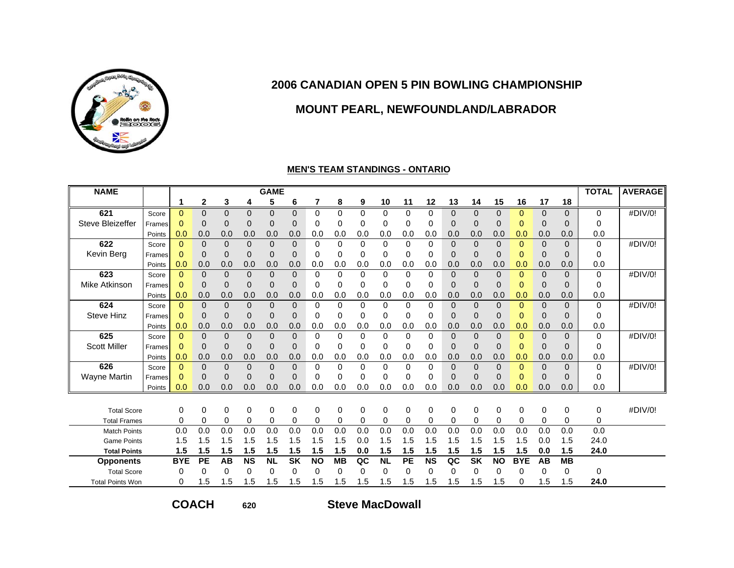

## **MOUNT PEARL, NEWFOUNDLAND/LABRADOR**

#### **MEN'S TEAM STANDINGS - ONTARIO**

| <b>NAME</b>             |        |             |              |             |                | <b>GAME</b>    |                          |           |           |             |           |          |           |                |             |                |             |             |             | <b>TOTAL</b> | <b>AVERAGE</b> |
|-------------------------|--------|-------------|--------------|-------------|----------------|----------------|--------------------------|-----------|-----------|-------------|-----------|----------|-----------|----------------|-------------|----------------|-------------|-------------|-------------|--------------|----------------|
|                         |        | 1           | $\mathbf{2}$ | 3           | 4              | 5              | 6                        | 7         | 8         | 9           | 10        | 11       | 12        | 13             | 14          | 15             | 16          | 17          | 18          |              |                |
| 621                     | Score  | $\Omega$    | 0            | $\Omega$    | $\mathbf{0}$   | $\Omega$       | $\Omega$                 | 0         | $\Omega$  | $\Omega$    | 0         | 0        | 0         | 0              | 0           | $\Omega$       | 0           | 0           | $\Omega$    | $\Omega$     | #DIV/0!        |
| Steve Bleizeffer        | Frames | $\Omega$    | $\Omega$     | $\mathbf 0$ | $\overline{0}$ | $\overline{0}$ | $\mathbf 0$              | 0         | $\Omega$  | 0           | 0         | 0        | $\Omega$  | 0              | $\Omega$    | $\overline{0}$ | $\mathbf 0$ | 0           | $\mathbf 0$ | $\Omega$     |                |
|                         | Points | 0.0         | 0.0          | 0.0         | 0.0            | 0.0            | 0.0                      | 0.0       | 0.0       | 0.0         | 0.0       | 0.0      | 0.0       | 0.0            | 0.0         | 0.0            | 0.0         | 0.0         | 0.0         | 0.0          |                |
| 622                     | Score  | $\Omega$    | $\Omega$     | $\Omega$    | $\Omega$       | $\overline{0}$ | $\mathbf 0$              | 0         | $\Omega$  | $\Omega$    | $\Omega$  | $\Omega$ | $\Omega$  | $\Omega$       | 0           | $\Omega$       | $\Omega$    | $\Omega$    | $\Omega$    | $\mathbf 0$  | #DIV/0!        |
| Kevin Berg              | Frames | $\Omega$    | 0            | $\Omega$    | $\overline{0}$ | $\Omega$       | $\Omega$                 | 0         | 0         | $\Omega$    | 0         | 0        | $\Omega$  | $\Omega$       | 0           | $\Omega$       | $\Omega$    | $\Omega$    | $\Omega$    | $\Omega$     |                |
|                         | Points | 0.0         | 0.0          | 0.0         | 0.0            | 0.0            | 0.0                      | 0.0       | 0.0       | 0.0         | 0.0       | 0.0      | 0.0       | 0.0            | 0.0         | 0.0            | 0.0         | 0.0         | 0.0         | 0.0          |                |
| 623                     | Score  | $\Omega$    | 0            | $\Omega$    | $\Omega$       | $\Omega$       | $\Omega$                 | 0         | $\Omega$  | $\Omega$    | $\Omega$  | $\Omega$ | $\Omega$  | $\Omega$       | 0           | $\Omega$       | $\Omega$    | $\Omega$    | $\Omega$    | $\mathbf 0$  | #DIV/0!        |
| Mike Atkinson           | Frames | $\Omega$    | 0            | $\Omega$    | $\overline{0}$ | $\overline{0}$ | $\mathbf 0$              | 0         | 0         | $\Omega$    | 0         | 0        | $\Omega$  | $\overline{0}$ | $\Omega$    | $\Omega$       | $\mathbf 0$ | $\mathbf 0$ | $\mathbf 0$ | 0            |                |
|                         | Points | 0.0         | 0.0          | 0.0         | 0.0            | 0.0            | 0.0                      | 0.0       | 0.0       | 0.0         | 0.0       | 0.0      | 0.0       | 0.0            | 0.0         | 0.0            | 0.0         | 0.0         | 0.0         | 0.0          |                |
| 624                     | Score  | $\Omega$    | $\Omega$     | $\Omega$    | $\overline{0}$ | $\overline{0}$ | $\Omega$                 | 0         | 0         | $\Omega$    | $\Omega$  | $\Omega$ | $\Omega$  | 0              | 0           | $\Omega$       | $\Omega$    | $\Omega$    | $\Omega$    | $\mathbf 0$  | #DIV/0!        |
| <b>Steve Hinz</b>       | Frames | $\Omega$    | 0            | $\Omega$    | $\overline{0}$ | $\mathbf{0}$   | $\mathbf 0$              | 0         | 0         | $\Omega$    | 0         | 0        | $\Omega$  | $\Omega$       | $\Omega$    | $\Omega$       | $\Omega$    | $\Omega$    | $\mathbf 0$ | 0            |                |
|                         | Points | 0.0         | 0.0          | 0.0         | 0.0            | 0.0            | 0.0                      | 0.0       | 0.0       | 0.0         | 0.0       | 0.0      | 0.0       | 0.0            | 0.0         | 0.0            | 0.0         | 0.0         | 0.0         | 0.0          |                |
| 625                     | Score  | $\Omega$    | $\Omega$     | $\Omega$    | $\Omega$       | $\Omega$       | $\Omega$                 | 0         | 0         | $\Omega$    | 0         | 0        | $\Omega$  | $\Omega$       | 0           | $\Omega$       | $\Omega$    | $\Omega$    | $\Omega$    | $\mathbf 0$  | #DIV/0!        |
| <b>Scott Miller</b>     | Frames | $\Omega$    | $\Omega$     | $\Omega$    | $\overline{0}$ | $\mathbf{0}$   | $\mathbf 0$              | 0         | 0         | $\Omega$    | 0         | 0        | $\Omega$  | 0              | $\mathbf 0$ | $\Omega$       | $\mathbf 0$ | $\mathbf 0$ | $\mathbf 0$ | 0            |                |
|                         | Points | 0.0         | 0.0          | 0.0         | 0.0            | 0.0            | 0.0                      | 0.0       | 0.0       | 0.0         | 0.0       | 0.0      | 0.0       | 0.0            | 0.0         | 0.0            | 0.0         | 0.0         | 0.0         | 0.0          |                |
| 626                     | Score  | $\Omega$    | 0            | $\Omega$    | $\Omega$       | $\mathbf{0}$   | $\mathbf{0}$             | 0         | 0         | $\Omega$    | 0         | 0        | $\Omega$  | $\Omega$       | 0           | 0              | $\Omega$    | 0           | $\Omega$    | 0            | #DIV/0!        |
| <b>Wayne Martin</b>     | Frames | $\mathbf 0$ | 0            | $\Omega$    | $\overline{0}$ | $\Omega$       | $\mathbf 0$              | $\Omega$  | 0         | $\Omega$    | 0         | 0        | $\Omega$  | $\Omega$       | $\Omega$    | 0              | $\mathbf 0$ | $\Omega$    | $\mathbf 0$ | 0            |                |
|                         | Points | 0.0         | 0.0          | 0.0         | 0.0            | 0.0            | 0.0                      | 0.0       | 0.0       | 0.0         | 0.0       | 0.0      | 0.0       | 0.0            | 0.0         | 0.0            | 0.0         | 0.0         | 0.0         | 0.0          |                |
|                         |        |             |              |             |                |                |                          |           |           |             |           |          |           |                |             |                |             |             |             |              |                |
| <b>Total Score</b>      |        | 0           | 0            | 0           | 0              | 0              | 0                        | 0         | 0         | $\mathbf 0$ | 0         | 0        | 0         | 0              | 0           | 0              | 0           | 0           | 0           | 0            | #DIV/0!        |
| <b>Total Frames</b>     |        | 0           | 0            | $\Omega$    | 0              | $\Omega$       | $\mathbf 0$              | 0         | 0         | $\mathbf 0$ | 0         | 0        | $\Omega$  | 0              | 0           | $\Omega$       | 0           | $\Omega$    | 0           | 0            |                |
| <b>Match Points</b>     |        | 0.0         | 0.0          | 0.0         | 0.0            | 0.0            | 0.0                      | 0.0       | 0.0       | 0.0         | 0.0       | 0.0      | 0.0       | 0.0            | 0.0         | 0.0            | 0.0         | 0.0         | 0.0         | 0.0          |                |
| <b>Game Points</b>      |        | 1.5         | 1.5          | 1.5         | 1.5            | 1.5            | 1.5                      | 1.5       | 1.5       | 0.0         | 1.5       | 1.5      | 1.5       | 1.5            | 1.5         | 1.5            | 1.5         | 0.0         | 1.5         | 24.0         |                |
| <b>Total Points</b>     |        | 1.5         | 1.5          | 1.5         | 1.5            | 1.5            | 1.5                      | 1.5       | 1.5       | 0.0         | 1.5       | 1.5      | 1.5       | 1.5            | 1.5         | 1.5            | 1.5         | 0.0         | 1.5         | 24.0         |                |
| <b>Opponents</b>        |        | <b>BYE</b>  | <b>PE</b>    | AB          | <b>NS</b>      | <b>NL</b>      | $\overline{\mathsf{SK}}$ | <b>NO</b> | <b>MB</b> | QC          | <b>NL</b> | PE       | <b>NS</b> | QC             | <b>SK</b>   | <b>NO</b>      | <b>BYE</b>  | AB          | MB          |              |                |
| <b>Total Score</b>      |        | 0           | 0            | 0           | 0              | 0              | $\Omega$                 | 0         | 0         | $\Omega$    | 0         | 0        | $\Omega$  | 0              | 0           | 0              | 0           | 0           | 0           | $\Omega$     |                |
| <b>Total Points Won</b> |        | 0           | .5           | 1.5         | 1.5            | 1.5            | 1.5                      | 1.5       | 1.5       | 1.5         | 1.5       | 1.5      | 1.5       | 1.5            | 1.5         | 1.5            | 0           | 1.5         | 1.5         | 24.0         |                |

**COACH**

**620**

**Steve MacDowall**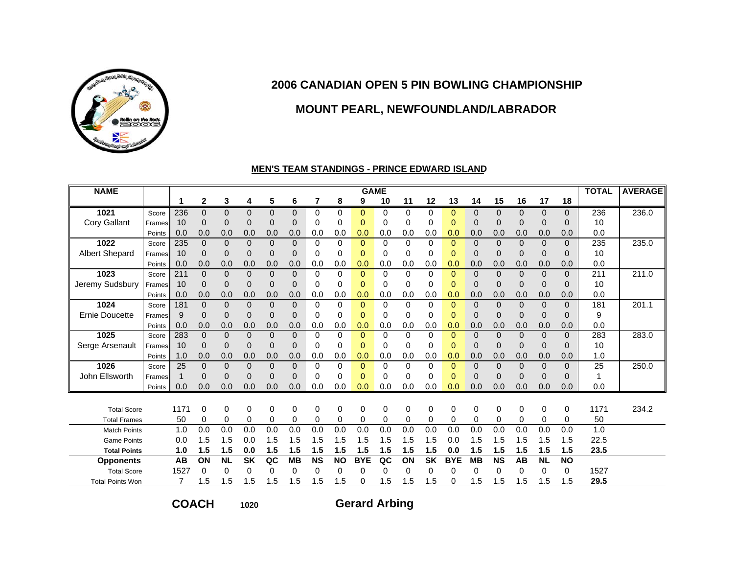

### **MOUNT PEARL, NEWFOUNDLAND/LABRADOR**

#### **MEN'S TEAM STANDINGS - PRINCE EDWARD ISLAND**

| <b>NAME</b>             |        |                |              |           |                |                |              |           |           | <b>GAME</b> |          |             |           |                |           |                |              |              |              | <b>TOTAL</b> | <b>AVERAGE</b> |
|-------------------------|--------|----------------|--------------|-----------|----------------|----------------|--------------|-----------|-----------|-------------|----------|-------------|-----------|----------------|-----------|----------------|--------------|--------------|--------------|--------------|----------------|
|                         |        | 1              | $\mathbf{2}$ | 3         | 4              | 5              | 6            | 7         | 8         | 9           | 10       | 11          | 12        | 13             | 14        | 15             | 16           | 17           | 18           |              |                |
| 1021                    | Score  | 236            | $\Omega$     | 0         | $\Omega$       | $\Omega$       | $\mathbf{0}$ | 0         | $\Omega$  | $\Omega$    | $\Omega$ | $\Omega$    | $\Omega$  | $\Omega$       | $\Omega$  | $\Omega$       | $\Omega$     | $\Omega$     | $\mathbf{0}$ | 236          | 236.0          |
| Cory Gallant            | Frames | 10             | $\Omega$     | $\Omega$  | $\overline{0}$ | $\mathbf{0}$   | $\Omega$     | 0         | 0         | $\Omega$    | 0        | $\Omega$    | $\Omega$  | 0              | 0         | $\overline{0}$ | 0            | $\Omega$     | $\Omega$     | 10           |                |
|                         | Points | 0.0            | 0.0          | 0.0       | 0.0            | 0.0            | 0.0          | 0.0       | 0.0       | 0.0         | 0.0      | 0.0         | 0.0       | 0.0            | 0.0       | 0.0            | 0.0          | 0.0          | 0.0          | 0.0          |                |
| 1022                    | Score  | 235            | $\Omega$     | $\Omega$  | $\Omega$       | $\mathbf 0$    | $\mathbf{0}$ | $\Omega$  | 0         | $\Omega$    | $\Omega$ | $\Omega$    | $\Omega$  | $\Omega$       | $\Omega$  | $\overline{0}$ | $\mathbf{0}$ | $\mathbf{0}$ | $\mathbf{0}$ | 235          | 235.0          |
| <b>Albert Shepard</b>   | Frames | 10             | 0            | $\Omega$  | $\overline{0}$ | $\mathbf 0$    | $\mathbf 0$  | 0         | 0         | $\Omega$    | 0        | 0           | 0         | 0              | 0         | $\overline{0}$ | 0            | $\mathbf 0$  | $\mathbf{0}$ | 10           |                |
|                         | Points | 0.0            | 0.0          | 0.0       | 0.0            | 0.0            | 0.0          | 0.0       | 0.0       | 0.0         | 0.0      | 0.0         | 0.0       | 0.0            | 0.0       | 0.0            | 0.0          | 0.0          | 0.0          | 0.0          |                |
| 1023                    | Score  | 211            | $\Omega$     | $\Omega$  | $\Omega$       | $\overline{0}$ | $\Omega$     | 0         | $\Omega$  | $\Omega$    | $\Omega$ | $\Omega$    | $\Omega$  | $\overline{0}$ | $\Omega$  | $\Omega$       | $\mathbf{0}$ | $\Omega$     | $\Omega$     | 211          | 211.0          |
| Jeremy Sudsbury         | Frames | 10             | $\Omega$     | $\Omega$  | $\overline{0}$ | $\Omega$       | $\Omega$     | 0         | 0         | $\Omega$    | $\Omega$ | $\Omega$    | $\Omega$  | $\overline{0}$ | 0         | $\overline{0}$ | $\mathbf 0$  | $\Omega$     | $\Omega$     | 10           |                |
|                         | Points | 0.0            | 0.0          | 0.0       | 0.0            | 0.0            | 0.0          | 0.0       | 0.0       | 0.0         | 0.0      | 0.0         | 0.0       | 0.0            | 0.0       | 0.0            | 0.0          | 0.0          | 0.0          | 0.0          |                |
| 1024                    | Score  | 181            | $\Omega$     | $\Omega$  | $\Omega$       | $\mathbf{0}$   | $\Omega$     | 0         | $\Omega$  | $\Omega$    | $\Omega$ | $\Omega$    | $\Omega$  | 0              | $\Omega$  | $\overline{0}$ | $\mathbf{0}$ | $\Omega$     | $\Omega$     | 181          | 201.1          |
| <b>Ernie Doucette</b>   | Frames | 9              | 0            | $\Omega$  | $\overline{0}$ | $\mathbf{0}$   | $\mathbf 0$  | 0         | 0         | $\mathbf 0$ | 0        | 0           | 0         | 0              | 0         | $\overline{0}$ | 0            | $\Omega$     | $\mathbf{0}$ | 9            |                |
|                         | Points | 0.0            | 0.0          | 0.0       | 0.0            | 0.0            | 0.0          | 0.0       | 0.0       | 0.0         | 0.0      | 0.0         | 0.0       | 0.0            | 0.0       | 0.0            | 0.0          | 0.0          | 0.0          | 0.0          |                |
| 1025                    | Score  | 283            | $\Omega$     | $\Omega$  | $\Omega$       | $\overline{0}$ | $\mathbf{0}$ | 0         | $\Omega$  | $\Omega$    | $\Omega$ | $\Omega$    | $\Omega$  | 0              | 0         | $\overline{0}$ | $\Omega$     | $\Omega$     | $\Omega$     | 283          | 283.0          |
| Serge Arsenault         | Frames | 10             | $\Omega$     | $\Omega$  | $\overline{0}$ | $\Omega$       | $\mathbf 0$  | 0         | $\Omega$  | $\Omega$    | 0        | $\Omega$    | $\Omega$  | 0              | 0         | $\overline{0}$ | 0            | $\Omega$     | $\Omega$     | 10           |                |
|                         | Points | 1.0            | 0.0          | 0.0       | 0.0            | 0.0            | 0.0          | 0.0       | 0.0       | 0.0         | 0.0      | 0.0         | 0.0       | 0.0            | 0.0       | 0.0            | 0.0          | 0.0          | 0.0          | 1.0          |                |
| 1026                    | Score  | 25             | $\Omega$     | $\Omega$  | $\overline{0}$ | $\overline{0}$ | $\mathbf{0}$ | 0         | $\Omega$  | $\Omega$    | $\Omega$ | $\Omega$    | $\Omega$  | $\Omega$       | $\Omega$  | $\overline{0}$ | $\mathbf{0}$ | $\Omega$     | $\mathbf{0}$ | 25           | 250.0          |
| John Ellsworth          | Frames | $\mathbf{1}$   | 0            | $\Omega$  | $\overline{0}$ | $\Omega$       | $\mathbf 0$  | 0         | $\Omega$  | $\Omega$    | 0        | 0           | $\Omega$  | 0              | 0         | $\overline{0}$ | 0            | $\Omega$     | $\mathbf{0}$ | 1            |                |
|                         | Points | 0.0            | 0.0          | 0.0       | 0.0            | 0.0            | 0.0          | 0.0       | 0.0       | 0.0         | 0.0      | 0.0         | 0.0       | 0.0            | 0.0       | 0.0            | 0.0          | 0.0          | 0.0          | 0.0          |                |
|                         |        |                |              |           |                |                |              |           |           |             |          |             |           |                |           |                |              |              |              |              |                |
| <b>Total Score</b>      |        | 1171           | $\Omega$     | $\Omega$  | 0              | 0              | 0            | 0         | 0         | 0           | 0        | $\mathbf 0$ | $\Omega$  | 0              | $\Omega$  | 0              | 0            | $\Omega$     | 0            | 1171         | 234.2          |
| <b>Total Frames</b>     |        | 50             | 0            | 0         | 0              | $\mathbf 0$    | 0            | 0         | 0         | 0           | 0        | $\mathbf 0$ | 0         | 0              | 0         | 0              | 0            | 0            | 0            | 50           |                |
| <b>Match Points</b>     |        | 1.0            | 0.0          | 0.0       | 0.0            | 0.0            | 0.0          | 0.0       | 0.0       | 0.0         | 0.0      | 0.0         | 0.0       | 0.0            | 0.0       | 0.0            | 0.0          | 0.0          | 0.0          | 1.0          |                |
| <b>Game Points</b>      |        | 0.0            | 1.5          | 1.5       | 0.0            | 1.5            | 1.5          | 1.5       | 1.5       | 1.5         | 1.5      | 1.5         | 1.5       | 0.0            | 1.5       | 1.5            | 1.5          | 1.5          | 1.5          | 22.5         |                |
| <b>Total Points</b>     |        | 1.0            | 1.5          | 1.5       | 0.0            | 1.5            | 1.5          | 1.5       | 1.5       | 1.5         | 1.5      | 1.5         | 1.5       | 0.0            | 1.5       | 1.5            | 1.5          | 1.5          | 1.5          | 23.5         |                |
| <b>Opponents</b>        |        | AB             | ON           | <b>NL</b> | <b>SK</b>      | QC             | <b>MB</b>    | <b>NS</b> | <b>NO</b> | <b>BYE</b>  | QC       | ON          | <b>SK</b> | <b>BYE</b>     | <b>MB</b> | <b>NS</b>      | <b>AB</b>    | <b>NL</b>    | <b>NO</b>    |              |                |
| <b>Total Score</b>      |        | 1527           | 0            | 0         | 0              | $\Omega$       | $\Omega$     | 0         | 0         | 0           | 0        | 0           | 0         | 0              | 0         | $\Omega$       | 0            | $\Omega$     | 0            | 1527         |                |
| <b>Total Points Won</b> |        | $\overline{7}$ | 1.5          | 1.5       | 1.5            | 1.5            | 1.5          | 1.5       | 1.5       | 0           | 1.5      | 1.5         | 1.5       | 0              | 1.5       | 1.5            | 1.5          | 1.5          | 1.5          | 29.5         |                |

**COACH**

**1020**

**Gerard Arbing**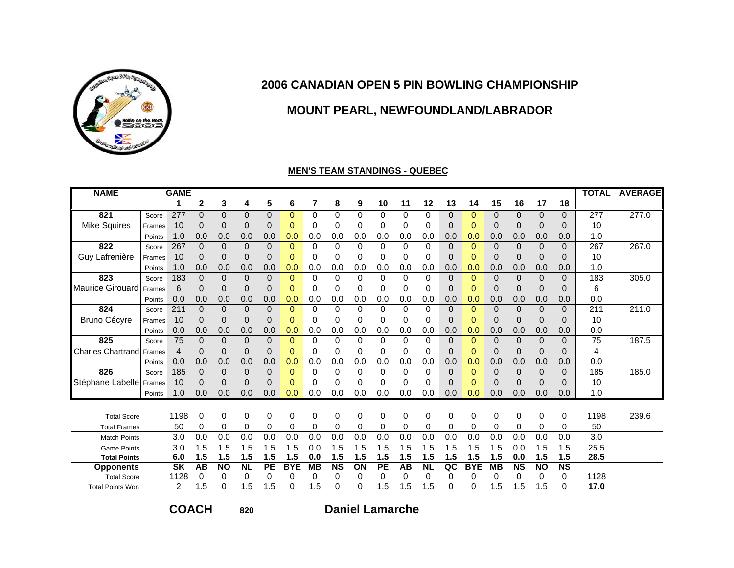

## **MOUNT PEARL, NEWFOUNDLAND/LABRADOR**

#### **MEN'S TEAM STANDINGS - QUEBEC**

| <b>NAME</b>              |        | <b>GAME</b>      |              |              |                |           |             |                  |                  |                  |             |          |           |             |                  |             |                  |             |                        | <b>TOTAL</b>     | <b>AVERAGE</b> |
|--------------------------|--------|------------------|--------------|--------------|----------------|-----------|-------------|------------------|------------------|------------------|-------------|----------|-----------|-------------|------------------|-------------|------------------|-------------|------------------------|------------------|----------------|
|                          |        |                  | 2            | 3            | 4              | 5         | 6           | 7                | 8                | 9                | 10          | 11       | 12        | 13          | 14               | 15          | 16               | 17          | 18                     |                  |                |
| 821                      | Score  | 277              | $\mathbf 0$  | $\Omega$     | $\mathbf 0$    | $\Omega$  | 0           | 0                | 0                | 0                | $\Omega$    | 0        | 0         | 0           | 0                | 0           | 0                | 0           | $\Omega$               | 277              | 277.0          |
| <b>Mike Squires</b>      | Frames | 10               | $\mathbf 0$  | 0            | $\overline{0}$ | 0         | $\mathbf 0$ | 0                | 0                | 0                | 0           | 0        | 0         | $\mathbf 0$ | $\Omega$         | $\mathbf 0$ | 0                | 0           | $\mathbf 0$            | 10               |                |
|                          | Points | 1.0              | 0.0          | 0.0          | 0.0            | 0.0       | 0.0         | 0.0              | 0.0              | 0.0              | 0.0         | 0.0      | 0.0       | 0.0         | 0.0              | 0.0         | 0.0              | 0.0         | 0.0                    | 1.0              |                |
| 822                      | Score  | 267              | $\Omega$     | $\Omega$     | $\Omega$       | $\Omega$  | $\Omega$    | 0                | 0                | $\Omega$         | $\Omega$    | $\Omega$ | 0         | $\Omega$    | $\Omega$         | $\Omega$    | $\Omega$         | $\Omega$    | $\Omega$               | 267              | 267.0          |
| Guy Lafrenière           | Frames | 10               | $\mathbf 0$  | 0            | $\mathbf 0$    | 0         | 0           | 0                | 0                | 0                | 0           | 0        | 0         | 0           | $\Omega$         | 0           | $\overline{0}$   | 0           | $\mathbf 0$            | 10               |                |
|                          | Points | 1.0              | 0.0          | 0.0          | 0.0            | 0.0       | 0.0         | 0.0              | 0.0              | 0.0              | 0.0         | 0.0      | 0.0       | 0.0         | 0.0              | 0.0         | 0.0              | 0.0         | 0.0                    | 1.0              |                |
| 823                      | Score  | 183              | $\mathbf 0$  | $\Omega$     | $\mathbf 0$    | $\Omega$  | $\Omega$    | 0                | 0                | $\Omega$         | $\Omega$    | $\Omega$ | 0         | $\Omega$    | $\Omega$         | 0           | $\mathbf 0$      | $\Omega$    | $\Omega$               | 183              | 305.0          |
| Maurice Girouard         | Frames | 6                | $\mathbf 0$  | $\Omega$     | $\mathbf 0$    | $\Omega$  | $\Omega$    | 0                | 0                | 0                | 0           | 0        | 0         | 0           | $\Omega$         | $\mathbf 0$ | 0                | $\mathbf 0$ | $\mathbf 0$            | 6                |                |
|                          | Points | 0.0              | 0.0          | 0.0          | 0.0            | 0.0       | 0.0         | 0.0              | 0.0              | 0.0              | 0.0         | 0.0      | 0.0       | 0.0         | 0.0              | 0.0         | 0.0              | 0.0         | 0.0                    | 0.0              |                |
| 824                      | Score  | 211              | $\Omega$     | $\Omega$     | $\mathbf 0$    | $\Omega$  | 0           | 0                | $\Omega$         | $\Omega$         | $\Omega$    | $\Omega$ | 0         | $\Omega$    | 0                | $\Omega$    | $\mathbf 0$      | $\mathbf 0$ | $\mathbf{0}$           | 211              | 211.0          |
| Bruno Cécyre             | Frames | 10               | $\mathbf 0$  | 0            | $\mathbf 0$    | $\Omega$  | $\Omega$    | $\Omega$         | 0                | 0                | 0           | 0        | 0         | $\Omega$    | $\Omega$         | $\mathbf 0$ | 0                | $\Omega$    | $\mathbf 0$            | 10               |                |
|                          | Points | 0.0              | 0.0          | 0.0          | 0.0            | 0.0       | 0.0         | 0.0              | 0.0              | 0.0              | 0.0         | 0.0      | 0.0       | 0.0         | 0.0              | 0.0         | 0.0              | 0.0         | 0.0                    | 0.0              |                |
| 825                      | Score  | $\overline{75}$  | $\Omega$     | $\Omega$     | $\Omega$       | $\Omega$  | $\Omega$    | $\Omega$         | $\Omega$         | $\Omega$         | $\Omega$    | $\Omega$ | 0         | $\Omega$    | $\Omega$         | $\Omega$    | $\Omega$         | $\Omega$    | $\Omega$               | 75               | 187.5          |
| <b>Charles Chartrand</b> | Frames | $\boldsymbol{4}$ | $\Omega$     | 0            | $\mathbf 0$    | 0         | $\Omega$    | 0                | 0                | 0                | 0           | 0        | 0         | $\Omega$    | $\Omega$         | $\Omega$    | $\overline{0}$   | $\Omega$    | $\mathbf 0$            | 4                |                |
|                          | Points | 0.0              | 0.0          | 0.0          | 0.0            | 0.0       | 0.0         | 0.0              | 0.0              | 0.0              | 0.0         | 0.0      | 0.0       | 0.0         | 0.0              | 0.0         | 0.0              | 0.0         | 0.0                    | 0.0              |                |
| 826                      | Score  | 185              | $\mathbf{0}$ | $\mathbf{0}$ | $\mathbf 0$    | $\Omega$  | 0           | 0                | 0                | $\Omega$         | $\Omega$    | $\Omega$ | 0         | 0           | $\Omega$         | 0           | $\mathbf 0$      | $\Omega$    | $\Omega$               | 185              | 185.0          |
| Stéphane Labelle Frames  |        | 10               | 0            | $\Omega$     | 0              | 0         | $\Omega$    | 0                | 0                | 0                | 0           | $\Omega$ | 0         | $\Omega$    | $\Omega$         | $\mathbf 0$ | 0                | 0           | $\Omega$               | 10               |                |
|                          | Points | 1.0              | 0.0          | 0.0          | 0.0            | 0.0       | 0.0         | 0.0              | 0.0              | 0.0              | 0.0         | 0.0      | 0.0       | 0.0         | 0.0              | 0.0         | 0.0              | 0.0         | 0.0                    | 1.0              |                |
|                          |        |                  |              |              |                |           |             |                  |                  |                  |             |          |           |             |                  |             |                  |             |                        |                  |                |
| <b>Total Score</b>       |        | 1198             | 0            | 0            | 0              | 0         | 0           | 0                | 0                | 0                | $\mathbf 0$ | 0        | 0         | 0           | 0                | 0           | 0                | 0           | 0                      | 1198             | 239.6          |
| <b>Total Frames</b>      |        | 50               | 0            | 0            | 0              | 0         | 0           | 0                | 0                | 0                | 0           | 0        | 0         | 0           | 0                | 0           | 0                | 0           | $\mathbf 0$            | 50               |                |
| <b>Match Points</b>      |        | $\overline{3.0}$ | 0.0          | 0.0          | 0.0            | 0.0       | 0.0         | $\overline{0.0}$ | $\overline{0.0}$ | $\overline{0.0}$ | 0.0         | 0.0      | 0.0       | 0.0         | $\overline{0.0}$ | 0.0         | $\overline{0.0}$ | 0.0         | 0.0                    | $\overline{3.0}$ |                |
| <b>Game Points</b>       |        | 3.0              | 1.5          | 1.5          | 1.5            | 1.5       | 1.5         | 0.0              | 1.5              | 1.5              | 1.5         | 1.5      | 1.5       | 1.5         | 1.5              | 1.5         | 0.0              | 1.5         | 1.5                    | 25.5             |                |
| <b>Total Points</b>      |        | 6.0              | 1.5          | 1.5          | 1.5            | 1.5       | 1.5         | 0.0              | 1.5              | 1.5              | 1.5         | 1.5      | 1.5       | 1.5         | 1.5              | 1.5         | 0.0              | 1.5         | 1.5                    | 28.5             |                |
| <b>Opponents</b>         |        | <b>SK</b>        | AB           | <b>NO</b>    | <b>NL</b>      | <b>PE</b> | <b>BYE</b>  | <b>MB</b>        | <b>NS</b>        | ON               | <b>PE</b>   | AB       | <b>NL</b> | QC          | <b>BYE</b>       | <b>MB</b>   | <b>NS</b>        | <b>NO</b>   | $\overline{\text{NS}}$ |                  |                |
| <b>Total Score</b>       |        | 1128             | $\Omega$     | 0            | $\Omega$       | 0         | 0           | 0                | 0                | 0                | 0           | 0        | 0         | 0           | 0                | 0           | 0                | 0           | 0                      | 1128             |                |
| <b>Total Points Won</b>  |        | $\overline{2}$   | 1.5          | $\mathbf{0}$ | 1.5            | 1.5       | 0           | 1.5              | 0                | 0                | 1.5         | 1.5      | 1.5       | 0           | 0                | 1.5         | 1.5              | 1.5         | 0                      | 17.0             |                |

**COACH**

**820**

**Daniel Lamarche**